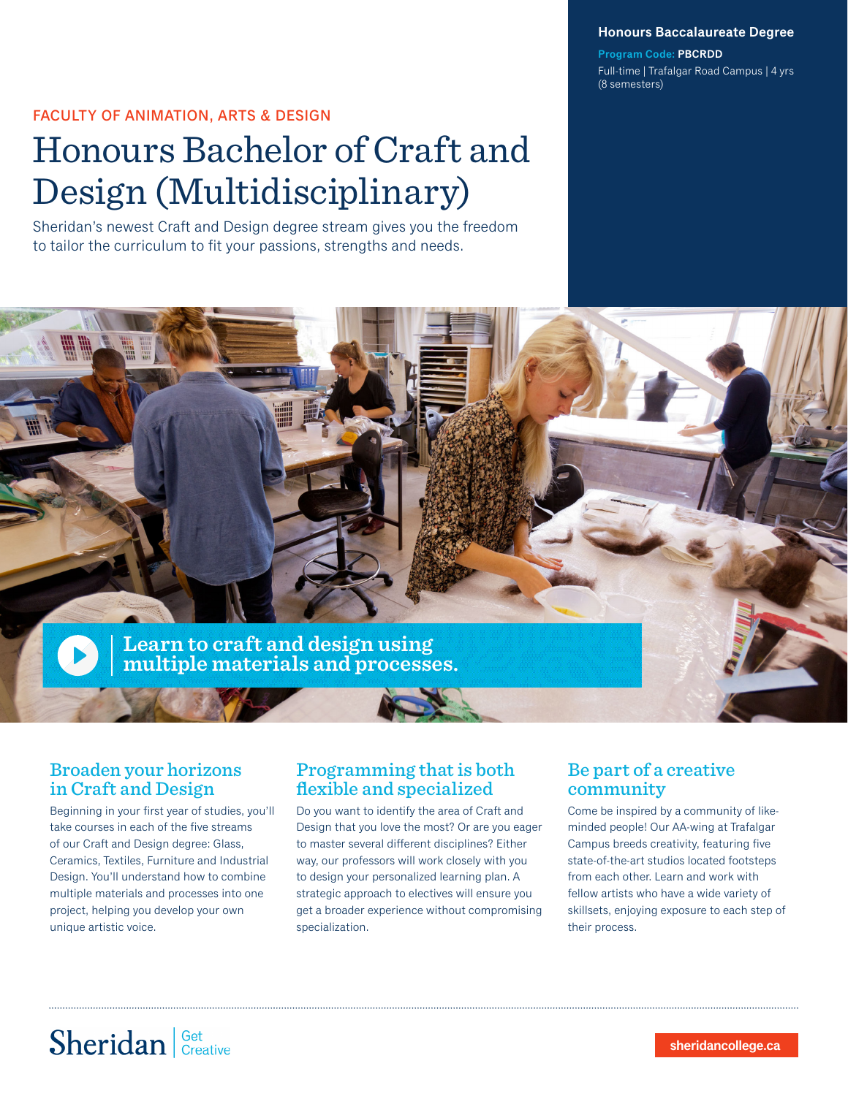**Honours Baccalaureate Degree**

**Program Code: PBCRDD** Full-time | Trafalgar Road Campus | 4 yrs (8 semesters)

### FACULTY OF ANIMATION, ARTS & DESIGN

# Honours Bachelor of Craft and Design (Multidisciplinary)

Sheridan's newest Craft and Design degree stream gives you the freedom to tailor the curriculum to fit your passions, strengths and needs.



## Broaden your horizons in Craft and Design

Beginning in your first year of studies, you'll take courses in each of the five streams of our Craft and Design degree: Glass, Ceramics, Textiles, Furniture and Industrial Design. You'll understand how to combine multiple materials and processes into one project, helping you develop your own unique artistic voice.

## Programming that is both flexible and specialized

Do you want to identify the area of Craft and Design that you love the most? Or are you eager to master several different disciplines? Either way, our professors will work closely with you to design your personalized learning plan. A strategic approach to electives will ensure you get a broader experience without compromising specialization.

## Be part of a creative community

Come be inspired by a community of likeminded people! Our AA-wing at Trafalgar Campus breeds creativity, featuring five state-of-the-art studios located footsteps from each other. Learn and work with fellow artists who have a wide variety of skillsets, enjoying exposure to each step of their process.

# Sheridan Get Creative